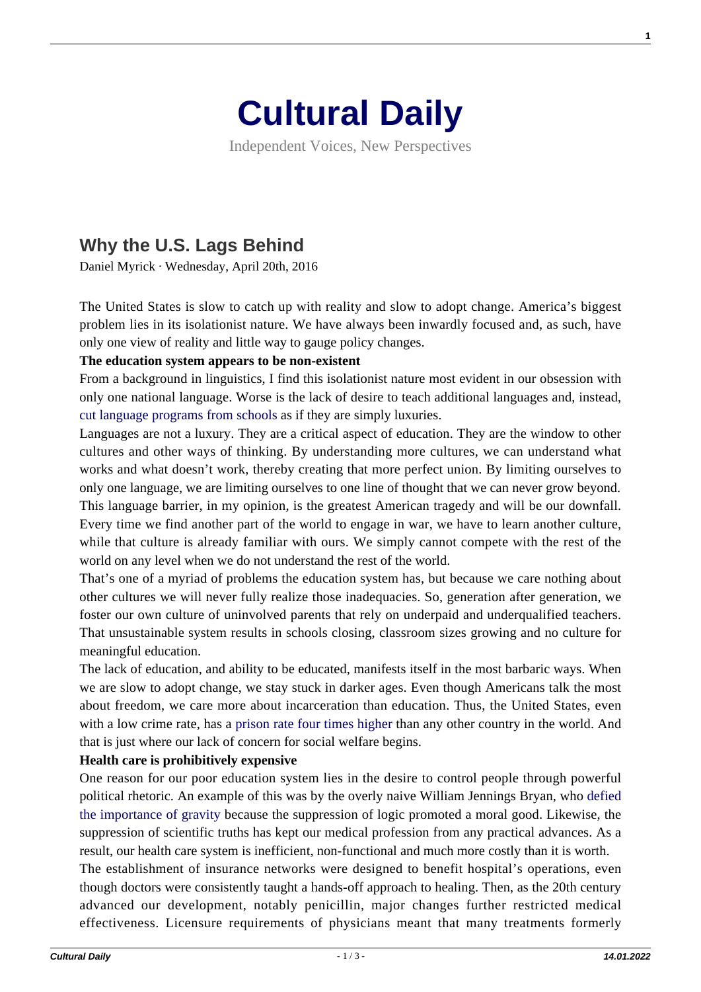

Independent Voices, New Perspectives

## **[Why the U.S. Lags Behind](https://culturaldaily.com/why-the-u-s-lags-behind/)**

Daniel Myrick · Wednesday, April 20th, 2016

The United States is slow to catch up with reality and slow to adopt change. America's biggest problem lies in its isolationist nature. We have always been inwardly focused and, as such, have only one view of reality and little way to gauge policy changes.

## **The education system appears to be non-existent**

From a background in linguistics, I find this isolationist nature most evident in our obsession with only one national language. Worse is the lack of desire to teach additional languages and, instead, [cut language programs from schools](http://www.theatlantic.com/education/archive/2015/05/filling-americas-language-education-potholes/392876/) as if they are simply luxuries.

Languages are not a luxury. They are a critical aspect of education. They are the window to other cultures and other ways of thinking. By understanding more cultures, we can understand what works and what doesn't work, thereby creating that more perfect union. By limiting ourselves to only one language, we are limiting ourselves to one line of thought that we can never grow beyond. This language barrier, in my opinion, is the greatest American tragedy and will be our downfall. Every time we find another part of the world to engage in war, we have to learn another culture, while that culture is already familiar with ours. We simply cannot compete with the rest of the world on any level when we do not understand the rest of the world.

That's one of a myriad of problems the education system has, but because we care nothing about other cultures we will never fully realize those inadequacies. So, generation after generation, we foster our own culture of uninvolved parents that rely on underpaid and underqualified teachers. That unsustainable system results in schools closing, classroom sizes growing and no culture for meaningful education.

The lack of education, and ability to be educated, manifests itself in the most barbaric ways. When we are slow to adopt change, we stay stuck in darker ages. Even though Americans talk the most about freedom, we care more about incarceration than education. Thus, the United States, even with a low crime rate, has a [prison rate four times higher](https://www.washingtonpost.com/news/fact-checker/wp/2015/07/07/yes-u-s-locks-people-up-at-a-higher) than any other country in the world. And that is just where our lack of concern for social welfare begins.

## **Health care is prohibitively expensive**

One reason for our poor education system lies in the desire to control people through powerful political rhetoric. An example of this was by the overly naive William Jennings Bryan, who [defied](http://www.usnews.com/opinion/blogs/policy-dose/2015/06/12/why-us-health-care-is-so-expensive) [the importance of gravity b](http://www.usnews.com/opinion/blogs/policy-dose/2015/06/12/why-us-health-care-is-so-expensive)ecause the suppression of logic promoted a moral good. Likewise, the suppression of scientific truths has kept our medical profession from any practical advances. As a result, our health care system is inefficient, non-functional and much more costly than it is worth. The establishment of insurance networks were designed to benefit hospital's operations, even though doctors were consistently taught a hands-off approach to healing. Then, as the 20th century advanced our development, notably penicillin, major changes further restricted medical effectiveness. Licensure requirements of physicians meant that many treatments formerly **1**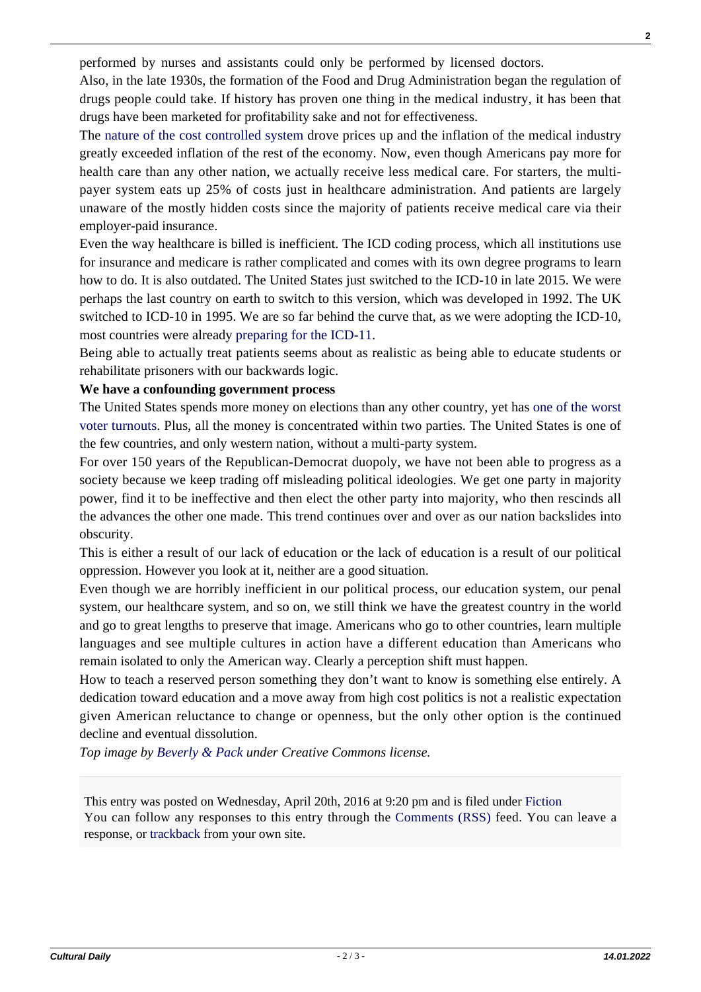performed by nurses and assistants could only be performed by licensed doctors.

Also, in the late 1930s, the formation of the Food and Drug Administration began the regulation of drugs people could take. If history has proven one thing in the medical industry, it has been that drugs have been marketed for profitability sake and not for effectiveness.

The [nature of the cost controlled system](http://www.investopedia.com/articles/personal-finance/062915/why-health-care-so-expensive-us.asp) drove prices up and the inflation of the medical industry greatly exceeded inflation of the rest of the economy. Now, even though Americans pay more for health care than any other nation, we actually receive less medical care. For starters, the multipayer system eats up 25% of costs just in healthcare administration. And patients are largely unaware of the mostly hidden costs since the majority of patients receive medical care via their employer-paid insurance.

Even the way healthcare is billed is inefficient. The ICD coding process, which all institutions use for insurance and medicare is rather complicated and comes with its own degree programs to learn how to do. It is also outdated. The United States just switched to the ICD-10 in late 2015. We were perhaps the last country on earth to switch to this version, which was developed in 1992. The UK switched to ICD-10 in 1995. We are so far behind the curve that, as we were adopting the ICD-10, most countries were already [preparing for the ICD-11](https://www.findacode.com/articles/icd-11-preview-ideal-for-holistic-medicine-12-2013-1528.html).

Being able to actually treat patients seems about as realistic as being able to educate students or rehabilitate prisoners with our backwards logic.

## **We have a confounding government process**

The United States spends more money on elections than any other country, yet has [one of the worst](http://www.pewresearch.org/fact-tank/2015/05/06/u-s-voter-turnout-trails-most-developed-countries/) [voter turnouts](http://www.pewresearch.org/fact-tank/2015/05/06/u-s-voter-turnout-trails-most-developed-countries/). Plus, all the money is concentrated within two parties. The United States is one of the few countries, and only western nation, without a multi-party system.

For over 150 years of the Republican-Democrat duopoly, we have not been able to progress as a society because we keep trading off misleading political ideologies. We get one party in majority power, find it to be ineffective and then elect the other party into majority, who then rescinds all the advances the other one made. This trend continues over and over as our nation backslides into obscurity.

This is either a result of our lack of education or the lack of education is a result of our political oppression. However you look at it, neither are a good situation.

Even though we are horribly inefficient in our political process, our education system, our penal system, our healthcare system, and so on, we still think we have the greatest country in the world and go to great lengths to preserve that image. Americans who go to other countries, learn multiple languages and see multiple cultures in action have a different education than Americans who remain isolated to only the American way. Clearly a perception shift must happen.

How to teach a reserved person something they don't want to know is something else entirely. A dedication toward education and a move away from high cost politics is not a realistic expectation given American reluctance to change or openness, but the only other option is the continued decline and eventual dissolution.

*Top image by [Beverly & Pack](https://www.flickr.com/photos/walkadog/3366563115/) under Creative Commons license.*

This entry was posted on Wednesday, April 20th, 2016 at 9:20 pm and is filed under [Fiction](https://culturaldaily.com/category/literature/fiction/) You can follow any responses to this entry through the [Comments \(RSS\)](https://culturaldaily.com/comments/feed/) feed. You can leave a response, or [trackback](https://culturaldaily.com/why-the-u-s-lags-behind/trackback/) from your own site.